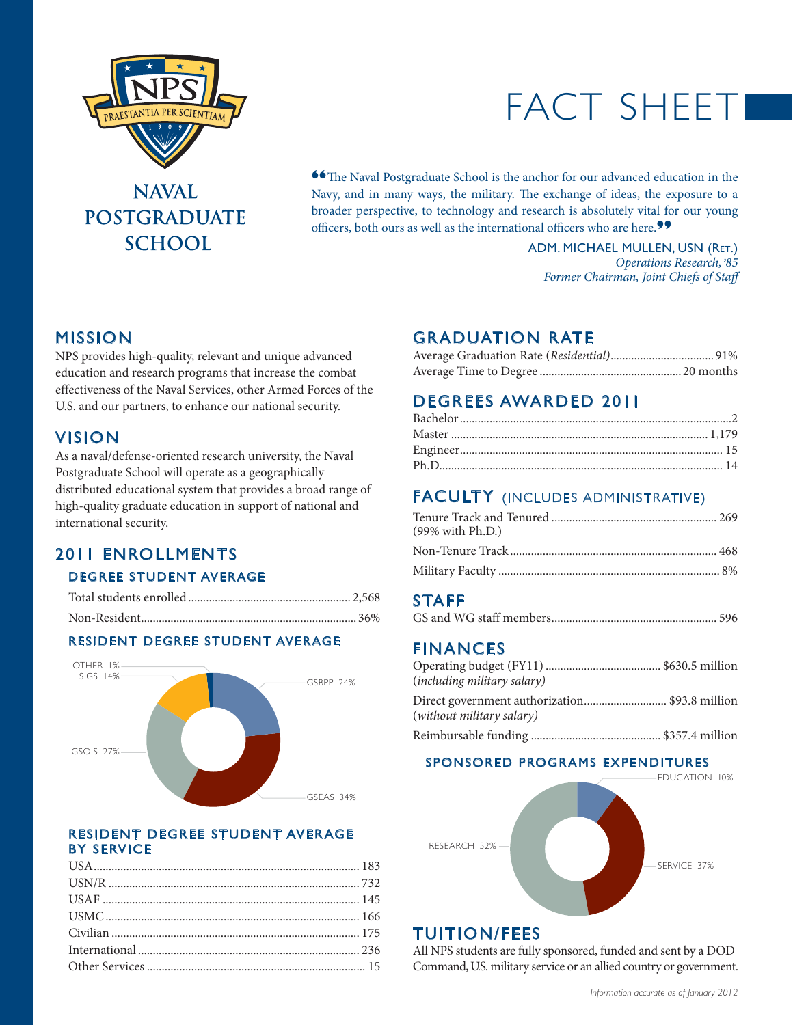

## **NAVAL POSTGRADUATE SCHOOL**

# FACT SHEET

**<sup>66</sup>The Naval Postgraduate School is the anchor for our advanced education in the** Navy, and in many ways, the military. The exchange of ideas, the exposure to a broader perspective, to technology and research is absolutely vital for our young officers, both ours as well as the international officers who are here.**"**

> ADM. MICHAEL MULLEN, USN (Ret.) *Operations Research, , 85 Former Chairman, Joint Chiefs of Staff*

## MISSION

NPS provides high-quality, relevant and unique advanced education and research programs that increase the combat effectiveness of the Naval Services, other Armed Forces of the U.S. and our partners, to enhance our national security.

#### Vision

As a naval/defense-oriented research university, the Naval Postgraduate School will operate as a geographically distributed educational system that provides a broad range of high-quality graduate education in support of national and international security.

## 2011 Enrollments Degree Student AVERAGE

#### Resident Degree Student AVERAGE



#### Resident degree student average by service

## Graduation Rate

## Degrees Awarded 2011

## **FACULTY** (INCLUDES ADMINISTRATIVE)

| (99% with Ph.D.) |  |
|------------------|--|
|                  |  |
|                  |  |

### **STAFF**

|--|

### **FINANCES**

| (including military salary)                                                |  |
|----------------------------------------------------------------------------|--|
| Direct government authorization\$93.8 million<br>(without military salary) |  |
|                                                                            |  |

#### SPONSORED PROGRAMS EXPENDITURES



### Tuition/Fees

All NPS students are fully sponsored, funded and sent by a DOD Command, U.S. military service or an allied country or government.